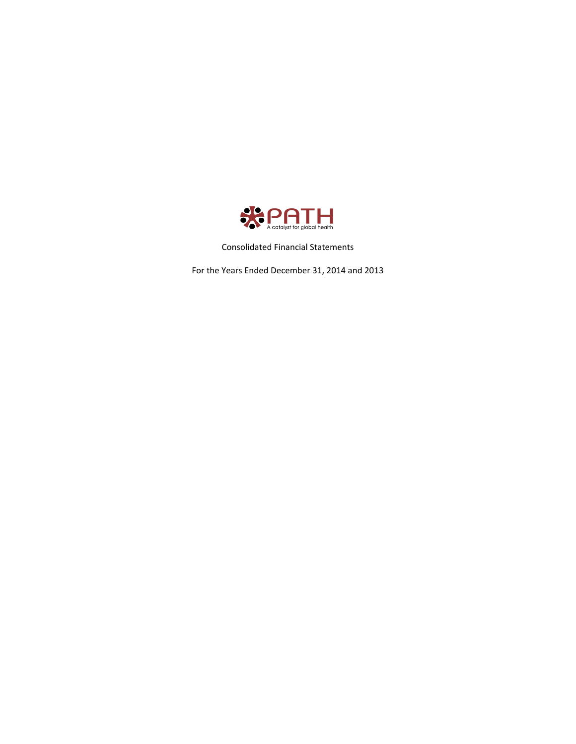

Consolidated Financial Statements

For the Years Ended December 31, 2014 and 2013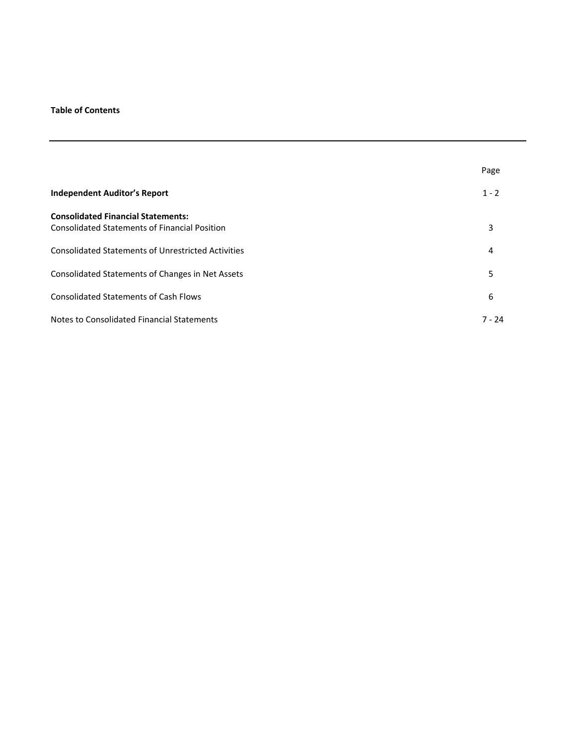# **Table of Contents**

|                                                                                                   | Page    |
|---------------------------------------------------------------------------------------------------|---------|
| <b>Independent Auditor's Report</b>                                                               | $1 - 2$ |
| <b>Consolidated Financial Statements:</b><br><b>Consolidated Statements of Financial Position</b> | 3       |
| <b>Consolidated Statements of Unrestricted Activities</b>                                         | 4       |
| Consolidated Statements of Changes in Net Assets                                                  | 5       |
| <b>Consolidated Statements of Cash Flows</b>                                                      | 6       |
| Notes to Consolidated Financial Statements                                                        | 7 - 24  |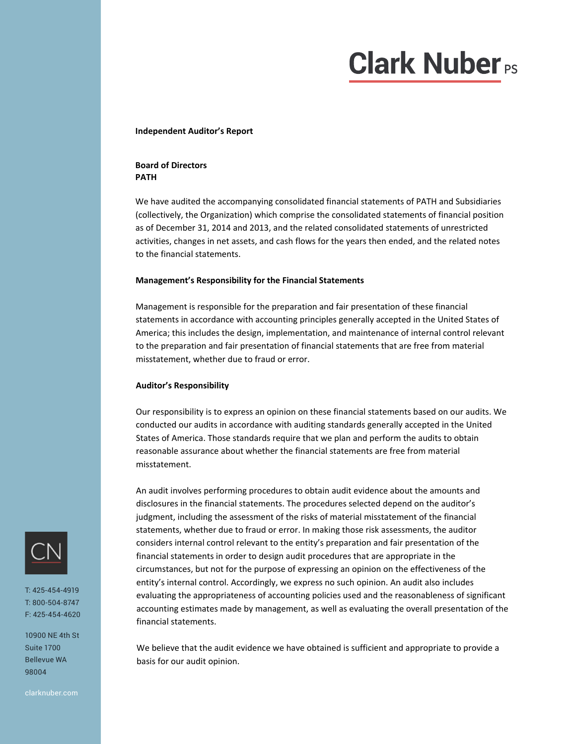# **Clark Nuber**<sub>Ps</sub>

#### **Independent Auditor's Report**

## **Board of Directors PATH**

We have audited the accompanying consolidated financial statements of PATH and Subsidiaries (collectively, the Organization) which comprise the consolidated statements of financial position as of December 31, 2014 and 2013, and the related consolidated statements of unrestricted activities, changes in net assets, and cash flows for the years then ended, and the related notes to the financial statements.

#### **Management's Responsibility for the Financial Statements**

Management is responsible for the preparation and fair presentation of these financial statements in accordance with accounting principles generally accepted in the United States of America; this includes the design, implementation, and maintenance of internal control relevant to the preparation and fair presentation of financial statements that are free from material misstatement, whether due to fraud or error.

### **Auditor's Responsibility**

Our responsibility is to express an opinion on these financial statements based on our audits. We conducted our audits in accordance with auditing standards generally accepted in the United States of America. Those standards require that we plan and perform the audits to obtain reasonable assurance about whether the financial statements are free from material misstatement.

An audit involves performing procedures to obtain audit evidence about the amounts and disclosures in the financial statements. The procedures selected depend on the auditor's judgment, including the assessment of the risks of material misstatement of the financial statements, whether due to fraud or error. In making those risk assessments, the auditor considers internal control relevant to the entity's preparation and fair presentation of the financial statements in order to design audit procedures that are appropriate in the circumstances, but not for the purpose of expressing an opinion on the effectiveness of the entity's internal control. Accordingly, we express no such opinion. An audit also includes evaluating the appropriateness of accounting policies used and the reasonableness of significant accounting estimates made by management, as well as evaluating the overall presentation of the financial statements.

We believe that the audit evidence we have obtained is sufficient and appropriate to provide a basis for our audit opinion.



T: 425-454-4919 T: 800-504-8747 F: 425-454-4620

10900 NE 4th St Suite 1700 Bellevue WA 98004

clarknuber.com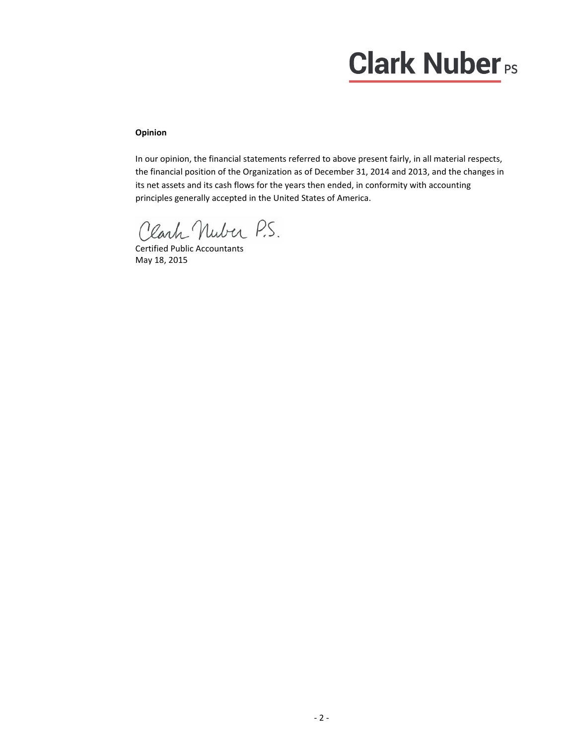# **Clark Nuber** PS

## **Opinion**

In our opinion, the financial statements referred to above present fairly, in all material respects, the financial position of the Organization as of December 31, 2014 and 2013, and the changes in its net assets and its cash flows for the years then ended, in conformity with accounting principles generally accepted in the United States of America.

Clark Nuber P.S.

Certified Public Accountants May 18, 2015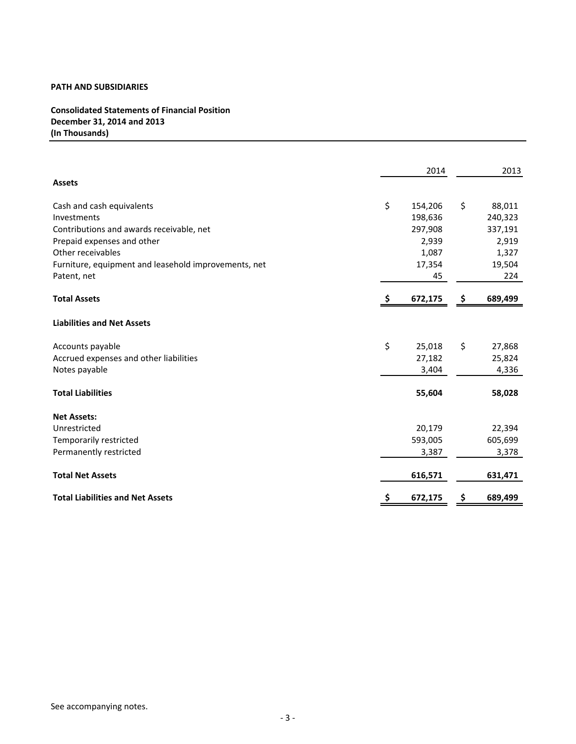# **Consolidated Statements of Financial Position December 31, 2014 and 2013 (In Thousands)**

|                                                      |    | 2014    |    | 2013    |
|------------------------------------------------------|----|---------|----|---------|
| <b>Assets</b>                                        |    |         |    |         |
| Cash and cash equivalents                            | \$ | 154,206 | \$ | 88,011  |
| Investments                                          |    | 198,636 |    | 240,323 |
| Contributions and awards receivable, net             |    | 297,908 |    | 337,191 |
| Prepaid expenses and other                           |    | 2,939   |    | 2,919   |
| Other receivables                                    |    | 1,087   |    | 1,327   |
| Furniture, equipment and leasehold improvements, net |    | 17,354  |    | 19,504  |
| Patent, net                                          |    | 45      |    | 224     |
| <b>Total Assets</b>                                  | -S | 672,175 | -Ş | 689,499 |
| <b>Liabilities and Net Assets</b>                    |    |         |    |         |
| Accounts payable                                     | \$ | 25,018  | \$ | 27,868  |
| Accrued expenses and other liabilities               |    | 27,182  |    | 25,824  |
| Notes payable                                        |    | 3,404   |    | 4,336   |
| <b>Total Liabilities</b>                             |    | 55,604  |    | 58,028  |
| <b>Net Assets:</b>                                   |    |         |    |         |
| Unrestricted                                         |    | 20,179  |    | 22,394  |
| Temporarily restricted                               |    | 593,005 |    | 605,699 |
| Permanently restricted                               |    | 3,387   |    | 3,378   |
| <b>Total Net Assets</b>                              |    | 616,571 |    | 631,471 |
| <b>Total Liabilities and Net Assets</b>              | \$ | 672,175 | Ş  | 689,499 |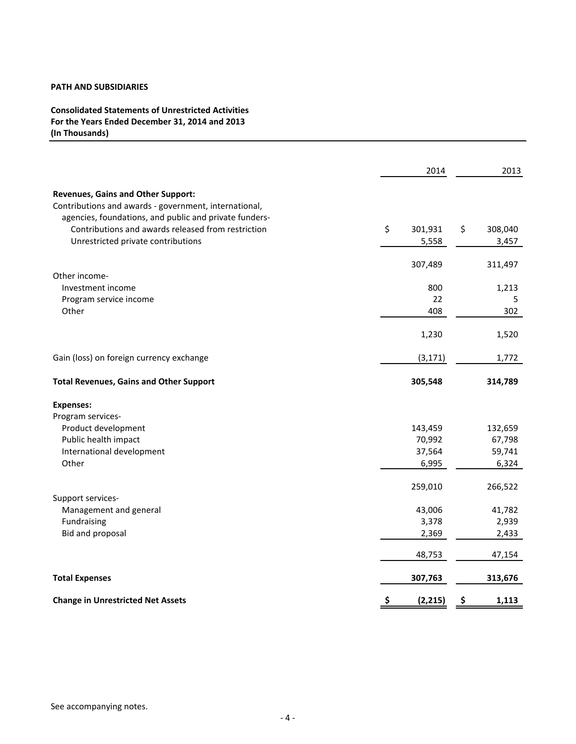**Consolidated Statements of Unrestricted Activities For the Years Ended December 31, 2014 and 2013 (In Thousands)**

|                                                        | 2014           | 2013          |
|--------------------------------------------------------|----------------|---------------|
| <b>Revenues, Gains and Other Support:</b>              |                |               |
| Contributions and awards - government, international,  |                |               |
| agencies, foundations, and public and private funders- |                |               |
| Contributions and awards released from restriction     | \$<br>301,931  | \$<br>308,040 |
| Unrestricted private contributions                     | 5,558          | 3,457         |
|                                                        | 307,489        | 311,497       |
| Other income-                                          |                |               |
| Investment income                                      | 800            | 1,213         |
| Program service income                                 | 22             | 5             |
| Other                                                  | 408            | 302           |
|                                                        | 1,230          | 1,520         |
| Gain (loss) on foreign currency exchange               | (3, 171)       | 1,772         |
| <b>Total Revenues, Gains and Other Support</b>         | 305,548        | 314,789       |
| <b>Expenses:</b>                                       |                |               |
| Program services-                                      |                |               |
| Product development                                    | 143,459        | 132,659       |
| Public health impact                                   | 70,992         | 67,798        |
| International development                              | 37,564         | 59,741        |
| Other                                                  | 6,995          | 6,324         |
|                                                        | 259,010        | 266,522       |
| Support services-                                      |                |               |
| Management and general                                 | 43,006         | 41,782        |
| Fundraising                                            | 3,378          | 2,939         |
| Bid and proposal                                       | 2,369          | 2,433         |
|                                                        | 48,753         | 47,154        |
| <b>Total Expenses</b>                                  | 307,763        | 313,676       |
| <b>Change in Unrestricted Net Assets</b>               | \$<br>(2, 215) | \$<br>1,113   |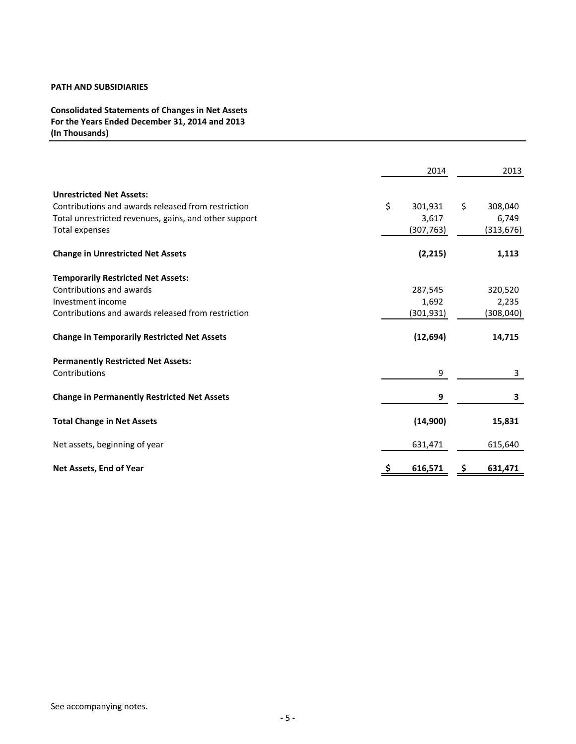**Consolidated Statements of Changes in Net Assets For the Years Ended December 31, 2014 and 2013 (In Thousands)**

|                                                       | 2014          | 2013          |
|-------------------------------------------------------|---------------|---------------|
| <b>Unrestricted Net Assets:</b>                       |               |               |
| Contributions and awards released from restriction    | \$<br>301,931 | \$<br>308,040 |
| Total unrestricted revenues, gains, and other support | 3,617         | 6,749         |
| Total expenses                                        | (307,763)     | (313, 676)    |
| <b>Change in Unrestricted Net Assets</b>              | (2, 215)      | 1,113         |
| <b>Temporarily Restricted Net Assets:</b>             |               |               |
| Contributions and awards                              | 287,545       | 320,520       |
| Investment income                                     | 1,692         | 2,235         |
| Contributions and awards released from restriction    | (301, 931)    | (308, 040)    |
| <b>Change in Temporarily Restricted Net Assets</b>    | (12, 694)     | 14,715        |
| <b>Permanently Restricted Net Assets:</b>             |               |               |
| Contributions                                         | 9             | 3             |
| <b>Change in Permanently Restricted Net Assets</b>    | 9             | 3             |
| <b>Total Change in Net Assets</b>                     | (14,900)      | 15,831        |
| Net assets, beginning of year                         | 631,471       | 615,640       |
| Net Assets, End of Year                               | 616,571       | 631,471       |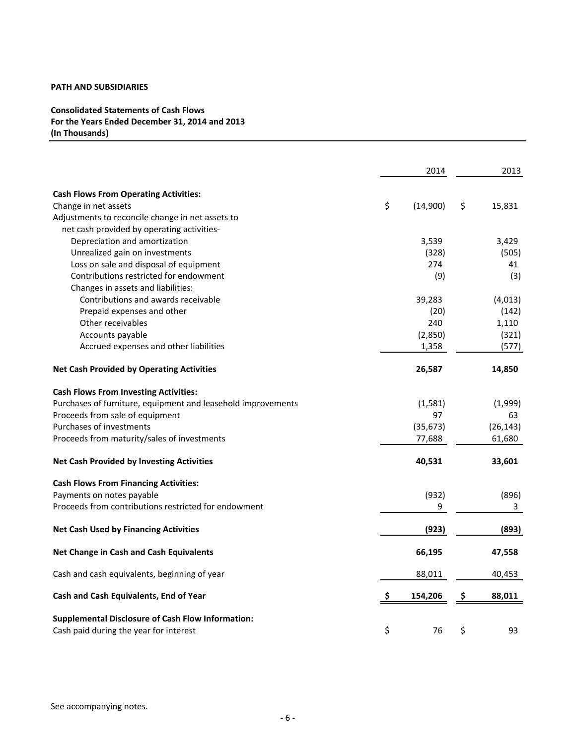**Consolidated Statements of Cash Flows For the Years Ended December 31, 2014 and 2013 (In Thousands)**

|                                                              |     | 2014      | 2013         |
|--------------------------------------------------------------|-----|-----------|--------------|
| <b>Cash Flows From Operating Activities:</b>                 |     |           |              |
| Change in net assets                                         | \$  | (14,900)  | \$<br>15,831 |
| Adjustments to reconcile change in net assets to             |     |           |              |
| net cash provided by operating activities-                   |     |           |              |
| Depreciation and amortization                                |     | 3,539     | 3,429        |
| Unrealized gain on investments                               |     | (328)     | (505)        |
| Loss on sale and disposal of equipment                       |     | 274       | 41           |
| Contributions restricted for endowment                       |     | (9)       | (3)          |
| Changes in assets and liabilities:                           |     |           |              |
| Contributions and awards receivable                          |     | 39,283    | (4,013)      |
| Prepaid expenses and other                                   |     | (20)      | (142)        |
| Other receivables                                            |     | 240       | 1,110        |
| Accounts payable                                             |     | (2,850)   | (321)        |
| Accrued expenses and other liabilities                       |     | 1,358     | (577)        |
| <b>Net Cash Provided by Operating Activities</b>             |     | 26,587    | 14,850       |
| <b>Cash Flows From Investing Activities:</b>                 |     |           |              |
| Purchases of furniture, equipment and leasehold improvements |     | (1,581)   | (1,999)      |
| Proceeds from sale of equipment                              |     | 97        | 63           |
| Purchases of investments                                     |     | (35, 673) | (26, 143)    |
| Proceeds from maturity/sales of investments                  |     | 77,688    | 61,680       |
| <b>Net Cash Provided by Investing Activities</b>             |     | 40,531    | 33,601       |
| <b>Cash Flows From Financing Activities:</b>                 |     |           |              |
| Payments on notes payable                                    |     | (932)     | (896)        |
| Proceeds from contributions restricted for endowment         |     | 9         | 3            |
| <b>Net Cash Used by Financing Activities</b>                 |     | (923)     | (893)        |
| Net Change in Cash and Cash Equivalents                      |     | 66,195    | 47,558       |
| Cash and cash equivalents, beginning of year                 |     | 88,011    | 40,453       |
| Cash and Cash Equivalents, End of Year                       | \$. | 154,206   | \$<br>88,011 |
| <b>Supplemental Disclosure of Cash Flow Information:</b>     |     |           |              |
| Cash paid during the year for interest                       | \$  | 76        | \$<br>93     |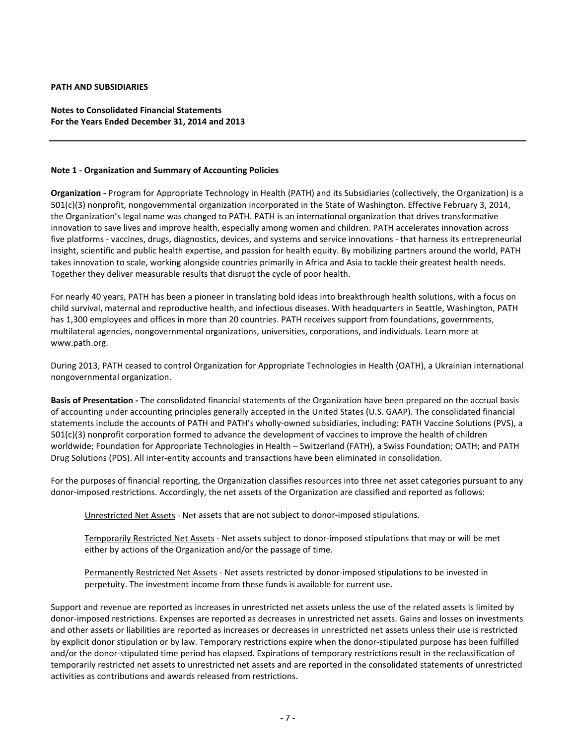**Notes to Consolidated Financial Statements For the Years Ended December 31, 2014 and 2013**

#### **Note 1 ‐ Organization and Summary of Accounting Policies**

**Organization ‐** Program for Appropriate Technology in Health (PATH) and its Subsidiaries (collectively, the Organization) is a 501(c)(3) nonprofit, nongovernmental organization incorporated in the State of Washington. Effective February 3, 2014, the Organization's legal name was changed to PATH. PATH is an international organization that drives transformative innovation to save lives and improve health, especially among women and children. PATH accelerates innovation across five platforms - vaccines, drugs, diagnostics, devices, and systems and service innovations - that harness its entrepreneurial insight, scientific and public health expertise, and passion for health equity. By mobilizing partners around the world, PATH takes innovation to scale, working alongside countries primarily in Africa and Asia to tackle their greatest health needs. Together they deliver measurable results that disrupt the cycle of poor health.

For nearly 40 years, PATH has been a pioneer in translating bold ideas into breakthrough health solutions, with a focus on child survival, maternal and reproductive health, and infectious diseases. With headquarters in Seattle, Washington, PATH has 1,300 employees and offices in more than 20 countries. PATH receives support from foundations, governments, multilateral agencies, nongovernmental organizations, universities, corporations, and individuals. Learn more at www.path.org.

During 2013, PATH ceased to control Organization for Appropriate Technologies in Health (OATH), a Ukrainian international nongovernmental organization.

**Basis of Presentation ‐** The consolidated financial statements of the Organization have been prepared on the accrual basis of accounting under accounting principles generally accepted in the United States (U.S. GAAP). The consolidated financial statements include the accounts of PATH and PATH's wholly-owned subsidiaries, including: PATH Vaccine Solutions (PVS), a 501(c)(3) nonprofit corporation formed to advance the development of vaccines to improve the health of children worldwide; Foundation for Appropriate Technologies in Health – Switzerland (FATH), a Swiss Foundation; OATH; and PATH Drug Solutions (PDS). All inter‐entity accounts and transactions have been eliminated in consolidation.

For the purposes of financial reporting, the Organization classifies resources into three net asset categories pursuant to any donor-imposed restrictions. Accordingly, the net assets of the Organization are classified and reported as follows:

Unrestricted Net Assets ‐ Net assets that are not subject to donor‐imposed stipulations.

Temporarily Restricted Net Assets ‐ Net assets subject to donor‐imposed stipulations that may or will be met either by actions of the Organization and/or the passage of time.

Permanently Restricted Net Assets ‐ Net assets restricted by donor‐imposed stipulations to be invested in perpetuity. The investment income from these funds is available for current use.

Support and revenue are reported as increases in unrestricted net assets unless the use of the related assets is limited by donor-imposed restrictions. Expenses are reported as decreases in unrestricted net assets. Gains and losses on investments and other assets or liabilities are reported as increases or decreases in unrestricted net assets unless their use is restricted by explicit donor stipulation or by law. Temporary restrictions expire when the donor‐stipulated purpose has been fulfilled and/or the donor-stipulated time period has elapsed. Expirations of temporary restrictions result in the reclassification of temporarily restricted net assets to unrestricted net assets and are reported in the consolidated statements of unrestricted activities as contributions and awards released from restrictions.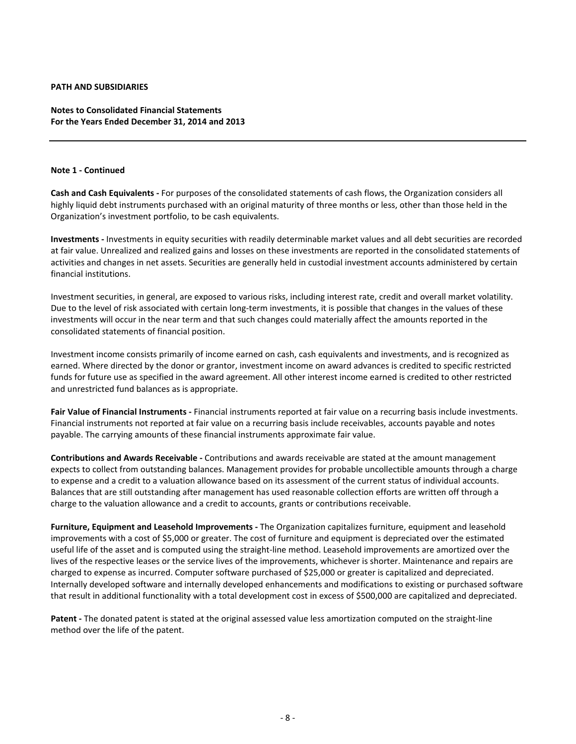**Notes to Consolidated Financial Statements For the Years Ended December 31, 2014 and 2013**

#### **Note 1 ‐ Continued**

**Cash and Cash Equivalents ‐** For purposes of the consolidated statements of cash flows, the Organization considers all highly liquid debt instruments purchased with an original maturity of three months or less, other than those held in the Organization's investment portfolio, to be cash equivalents.

**Investments ‐** Investments in equity securities with readily determinable market values and all debt securities are recorded at fair value. Unrealized and realized gains and losses on these investments are reported in the consolidated statements of activities and changes in net assets. Securities are generally held in custodial investment accounts administered by certain financial institutions.

Investment securities, in general, are exposed to various risks, including interest rate, credit and overall market volatility. Due to the level of risk associated with certain long-term investments, it is possible that changes in the values of these investments will occur in the near term and that such changes could materially affect the amounts reported in the consolidated statements of financial position.

Investment income consists primarily of income earned on cash, cash equivalents and investments, and is recognized as earned. Where directed by the donor or grantor, investment income on award advances is credited to specific restricted funds for future use as specified in the award agreement. All other interest income earned is credited to other restricted and unrestricted fund balances as is appropriate.

**Fair Value of Financial Instruments ‐** Financial instruments reported at fair value on a recurring basis include investments. Financial instruments not reported at fair value on a recurring basis include receivables, accounts payable and notes payable. The carrying amounts of these financial instruments approximate fair value.

**Contributions and Awards Receivable ‐** Contributions and awards receivable are stated at the amount management expects to collect from outstanding balances. Management provides for probable uncollectible amounts through a charge to expense and a credit to a valuation allowance based on its assessment of the current status of individual accounts. Balances that are still outstanding after management has used reasonable collection efforts are written off through a charge to the valuation allowance and a credit to accounts, grants or contributions receivable.

**Furniture, Equipment and Leasehold Improvements ‐** The Organization capitalizes furniture, equipment and leasehold improvements with a cost of \$5,000 or greater. The cost of furniture and equipment is depreciated over the estimated useful life of the asset and is computed using the straight‐line method. Leasehold improvements are amortized over the lives of the respective leases or the service lives of the improvements, whichever is shorter. Maintenance and repairs are charged to expense as incurred. Computer software purchased of \$25,000 or greater is capitalized and depreciated. Internally developed software and internally developed enhancements and modifications to existing or purchased software that result in additional functionality with a total development cost in excess of \$500,000 are capitalized and depreciated.

**Patent ‐** The donated patent is stated at the original assessed value less amortization computed on the straight‐line method over the life of the patent.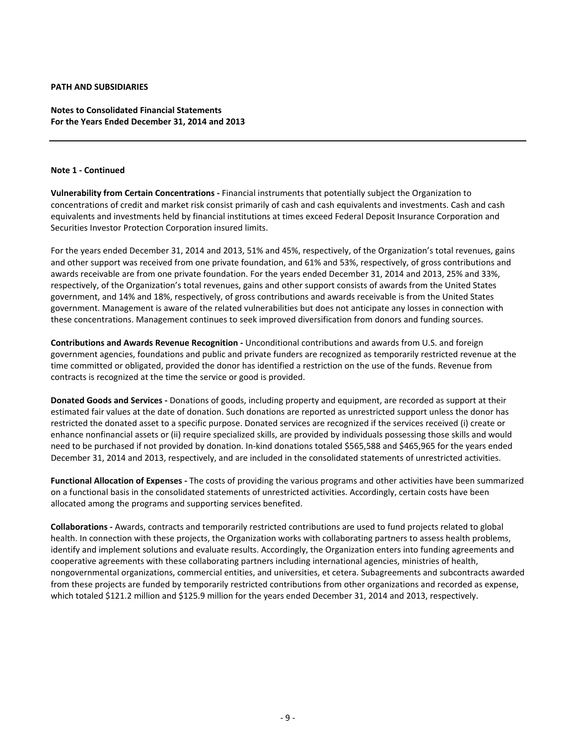**Notes to Consolidated Financial Statements For the Years Ended December 31, 2014 and 2013**

#### **Note 1 ‐ Continued**

**Vulnerability from Certain Concentrations ‐** Financial instruments that potentially subject the Organization to concentrations of credit and market risk consist primarily of cash and cash equivalents and investments. Cash and cash equivalents and investments held by financial institutions at times exceed Federal Deposit Insurance Corporation and Securities Investor Protection Corporation insured limits.

For the years ended December 31, 2014 and 2013, 51% and 45%, respectively, of the Organization's total revenues, gains and other support was received from one private foundation, and 61% and 53%, respectively, of gross contributions and awards receivable are from one private foundation. For the years ended December 31, 2014 and 2013, 25% and 33%, respectively, of the Organization's total revenues, gains and other support consists of awards from the United States government, and 14% and 18%, respectively, of gross contributions and awards receivable is from the United States government. Management is aware of the related vulnerabilities but does not anticipate any losses in connection with these concentrations. Management continues to seek improved diversification from donors and funding sources.

**Contributions and Awards Revenue Recognition ‐** Unconditional contributions and awards from U.S. and foreign government agencies, foundations and public and private funders are recognized as temporarily restricted revenue at the time committed or obligated, provided the donor has identified a restriction on the use of the funds. Revenue from contracts is recognized at the time the service or good is provided.

**Donated Goods and Services ‐** Donations of goods, including property and equipment, are recorded as support at their estimated fair values at the date of donation. Such donations are reported as unrestricted support unless the donor has restricted the donated asset to a specific purpose. Donated services are recognized if the services received (i) create or enhance nonfinancial assets or (ii) require specialized skills, are provided by individuals possessing those skills and would need to be purchased if not provided by donation. In‐kind donations totaled \$565,588 and \$465,965 for the years ended December 31, 2014 and 2013, respectively, and are included in the consolidated statements of unrestricted activities.

**Functional Allocation of Expenses ‐** The costs of providing the various programs and other activities have been summarized on a functional basis in the consolidated statements of unrestricted activities. Accordingly, certain costs have been allocated among the programs and supporting services benefited.

**Collaborations ‐** Awards, contracts and temporarily restricted contributions are used to fund projects related to global health. In connection with these projects, the Organization works with collaborating partners to assess health problems, identify and implement solutions and evaluate results. Accordingly, the Organization enters into funding agreements and cooperative agreements with these collaborating partners including international agencies, ministries of health, nongovernmental organizations, commercial entities, and universities, et cetera. Subagreements and subcontracts awarded from these projects are funded by temporarily restricted contributions from other organizations and recorded as expense, which totaled \$121.2 million and \$125.9 million for the years ended December 31, 2014 and 2013, respectively.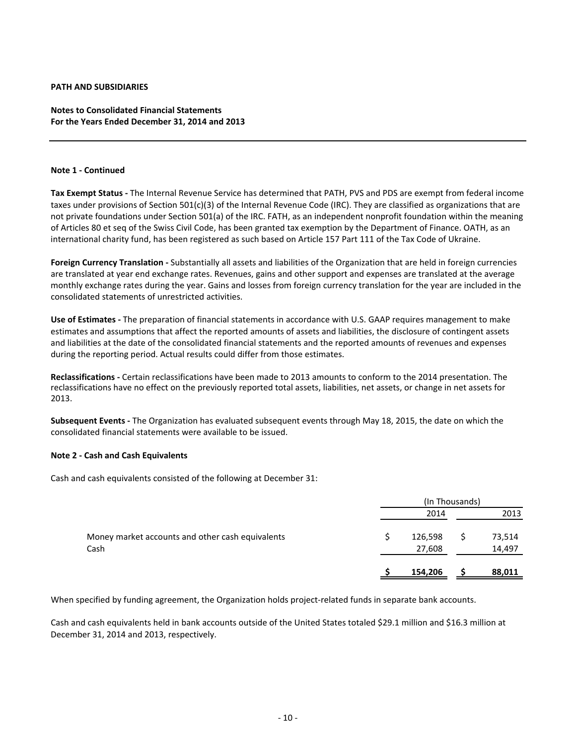**Notes to Consolidated Financial Statements For the Years Ended December 31, 2014 and 2013**

## **Note 1 ‐ Continued**

**Tax Exempt Status ‐** The Internal Revenue Service has determined that PATH, PVS and PDS are exempt from federal income taxes under provisions of Section 501(c)(3) of the Internal Revenue Code (IRC). They are classified as organizations that are not private foundations under Section 501(a) of the IRC. FATH, as an independent nonprofit foundation within the meaning of Articles 80 et seq of the Swiss Civil Code, has been granted tax exemption by the Department of Finance. OATH, as an international charity fund, has been registered as such based on Article 157 Part 111 of the Tax Code of Ukraine.

**Foreign Currency Translation ‐** Substantially all assets and liabilities of the Organization that are held in foreign currencies are translated at year end exchange rates. Revenues, gains and other support and expenses are translated at the average monthly exchange rates during the year. Gains and losses from foreign currency translation for the year are included in the consolidated statements of unrestricted activities.

**Use of Estimates ‐** The preparation of financial statements in accordance with U.S. GAAP requires management to make estimates and assumptions that affect the reported amounts of assets and liabilities, the disclosure of contingent assets and liabilities at the date of the consolidated financial statements and the reported amounts of revenues and expenses during the reporting period. Actual results could differ from those estimates.

**Reclassifications ‐** Certain reclassifications have been made to 2013 amounts to conform to the 2014 presentation. The reclassifications have no effect on the previously reported total assets, liabilities, net assets, or change in net assets for 2013.

**Subsequent Events ‐** The Organization has evaluated subsequent events through May 18, 2015, the date on which the consolidated financial statements were available to be issued.

### **Note 2 ‐ Cash and Cash Equivalents**

Cash and cash equivalents consisted of the following at December 31:

|                                                          | (In Thousands) |                   |  |                  |  |
|----------------------------------------------------------|----------------|-------------------|--|------------------|--|
|                                                          |                | 2014              |  | 2013             |  |
| Money market accounts and other cash equivalents<br>Cash |                | 126,598<br>27,608 |  | 73,514<br>14,497 |  |
|                                                          |                | 154,206           |  | 88,011           |  |

When specified by funding agreement, the Organization holds project-related funds in separate bank accounts.

Cash and cash equivalents held in bank accounts outside of the United States totaled \$29.1 million and \$16.3 million at December 31, 2014 and 2013, respectively.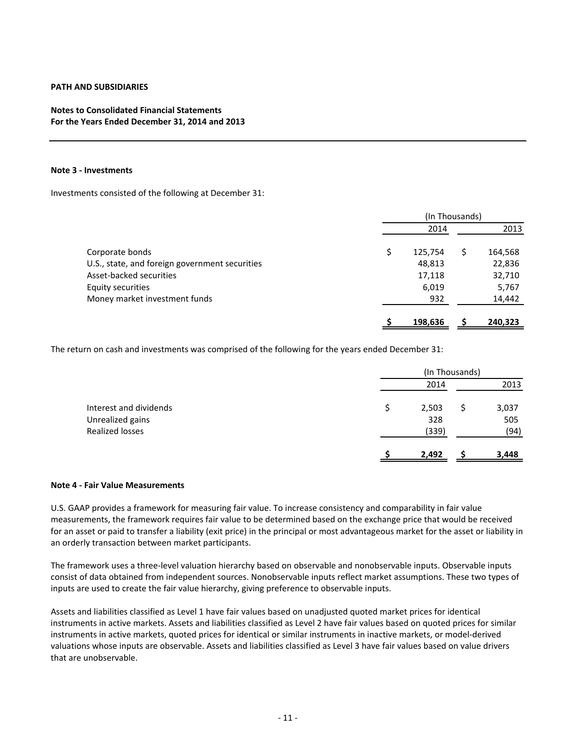## **Notes to Consolidated Financial Statements For the Years Ended December 31, 2014 and 2013**

#### **Note 3 ‐ Investments**

Investments consisted of the following at December 31:

|                                                | (In Thousands) |         |    |         |
|------------------------------------------------|----------------|---------|----|---------|
|                                                |                | 2014    |    | 2013    |
| Corporate bonds                                | \$.            | 125,754 | \$ | 164,568 |
| U.S., state, and foreign government securities |                | 48,813  |    | 22,836  |
| Asset-backed securities                        |                | 17,118  |    | 32,710  |
| Equity securities                              |                | 6,019   |    | 5,767   |
| Money market investment funds                  |                | 932     |    | 14,442  |
|                                                |                | 198,636 |    | 240,323 |

The return on cash and investments was comprised of the following for the years ended December 31:

| (In Thousands) |       |  |       |
|----------------|-------|--|-------|
|                | 2014  |  | 2013  |
|                | 2,503 |  | 3,037 |
|                | 328   |  | 505   |
|                | (339) |  | (94)  |
|                | 2,492 |  | 3,448 |
|                |       |  |       |

## **Note 4 ‐ Fair Value Measurements**

U.S. GAAP provides a framework for measuring fair value. To increase consistency and comparability in fair value measurements, the framework requires fair value to be determined based on the exchange price that would be received for an asset or paid to transfer a liability (exit price) in the principal or most advantageous market for the asset or liability in an orderly transaction between market participants.

The framework uses a three‐level valuation hierarchy based on observable and nonobservable inputs. Observable inputs consist of data obtained from independent sources. Nonobservable inputs reflect market assumptions. These two types of inputs are used to create the fair value hierarchy, giving preference to observable inputs.

Assets and liabilities classified as Level 1 have fair values based on unadjusted quoted market prices for identical instruments in active markets. Assets and liabilities classified as Level 2 have fair values based on quoted prices for similar instruments in active markets, quoted prices for identical or similar instruments in inactive markets, or model‐derived valuations whose inputs are observable. Assets and liabilities classified as Level 3 have fair values based on value drivers that are unobservable.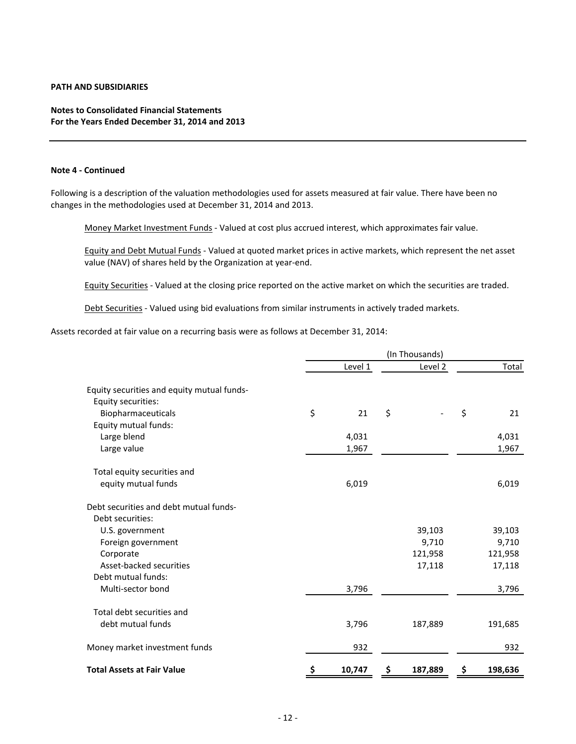# **Notes to Consolidated Financial Statements For the Years Ended December 31, 2014 and 2013**

## **Note 4 ‐ Continued**

Following is a description of the valuation methodologies used for assets measured at fair value. There have been no changes in the methodologies used at December 31, 2014 and 2013.

Money Market Investment Funds - Valued at cost plus accrued interest, which approximates fair value.

Equity and Debt Mutual Funds ‐ Valued at quoted market prices in active markets, which represent the net asset value (NAV) of shares held by the Organization at year‐end.

Equity Securities - Valued at the closing price reported on the active market on which the securities are traded.

Debt Securities - Valued using bid evaluations from similar instruments in actively traded markets.

Assets recorded at fair value on a recurring basis were as follows at December 31, 2014:

|                                            | (In Thousands) |         |    |         |    |         |
|--------------------------------------------|----------------|---------|----|---------|----|---------|
|                                            |                | Level 1 |    | Level 2 |    | Total   |
| Equity securities and equity mutual funds- |                |         |    |         |    |         |
| Equity securities:                         |                |         |    |         |    |         |
| Biopharmaceuticals                         | \$             | 21      | \$ |         | \$ | 21      |
| Equity mutual funds:                       |                |         |    |         |    |         |
| Large blend                                |                | 4,031   |    |         |    | 4,031   |
| Large value                                |                | 1,967   |    |         |    | 1,967   |
| Total equity securities and                |                |         |    |         |    |         |
| equity mutual funds                        |                | 6,019   |    |         |    | 6,019   |
| Debt securities and debt mutual funds-     |                |         |    |         |    |         |
| Debt securities:                           |                |         |    |         |    |         |
| U.S. government                            |                |         |    | 39,103  |    | 39,103  |
| Foreign government                         |                |         |    | 9,710   |    | 9,710   |
| Corporate                                  |                |         |    | 121,958 |    | 121,958 |
| Asset-backed securities                    |                |         |    | 17,118  |    | 17,118  |
| Debt mutual funds:                         |                |         |    |         |    |         |
| Multi-sector bond                          |                | 3,796   |    |         |    | 3,796   |
| Total debt securities and                  |                |         |    |         |    |         |
| debt mutual funds                          |                | 3,796   |    | 187,889 |    | 191,685 |
| Money market investment funds              |                | 932     |    |         |    | 932     |
| <b>Total Assets at Fair Value</b>          | \$             | 10,747  | \$ | 187,889 | \$ | 198,636 |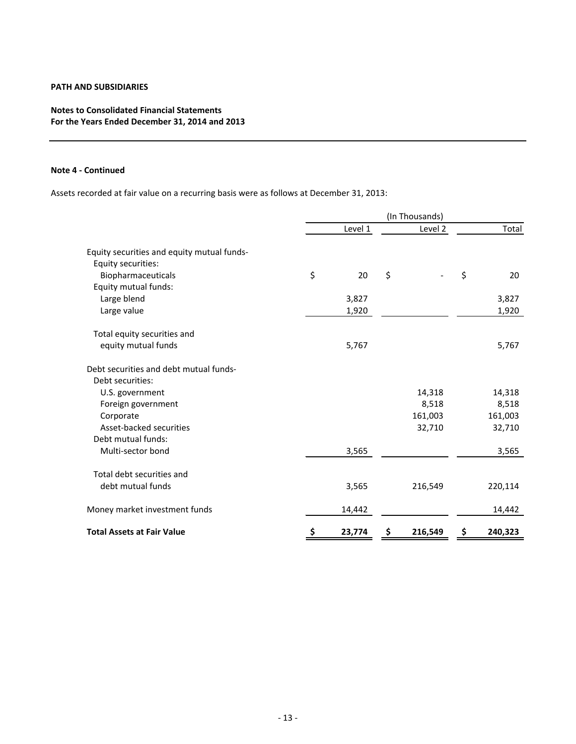# **Notes to Consolidated Financial Statements For the Years Ended December 31, 2014 and 2013**

## **Note 4 ‐ Continued**

Assets recorded at fair value on a recurring basis were as follows at December 31, 2013:

|                                            | (In Thousands) |         |    |         |               |
|--------------------------------------------|----------------|---------|----|---------|---------------|
|                                            |                | Level 1 |    | Level 2 | Total         |
| Equity securities and equity mutual funds- |                |         |    |         |               |
| Equity securities:                         |                |         |    |         |               |
| Biopharmaceuticals                         | \$             | 20      | \$ |         | \$<br>20      |
| Equity mutual funds:                       |                |         |    |         |               |
| Large blend                                |                | 3,827   |    |         | 3,827         |
| Large value                                |                | 1,920   |    |         | 1,920         |
| Total equity securities and                |                |         |    |         |               |
| equity mutual funds                        |                | 5,767   |    |         | 5,767         |
| Debt securities and debt mutual funds-     |                |         |    |         |               |
| Debt securities:                           |                |         |    |         |               |
| U.S. government                            |                |         |    | 14,318  | 14,318        |
| Foreign government                         |                |         |    | 8,518   | 8,518         |
| Corporate                                  |                |         |    | 161,003 | 161,003       |
| Asset-backed securities                    |                |         |    | 32,710  | 32,710        |
| Debt mutual funds:                         |                |         |    |         |               |
| Multi-sector bond                          |                | 3,565   |    |         | 3,565         |
| Total debt securities and                  |                |         |    |         |               |
| debt mutual funds                          |                | 3,565   |    | 216,549 | 220,114       |
| Money market investment funds              |                | 14,442  |    |         | 14,442        |
| <b>Total Assets at Fair Value</b>          | \$             | 23,774  | \$ | 216,549 | \$<br>240,323 |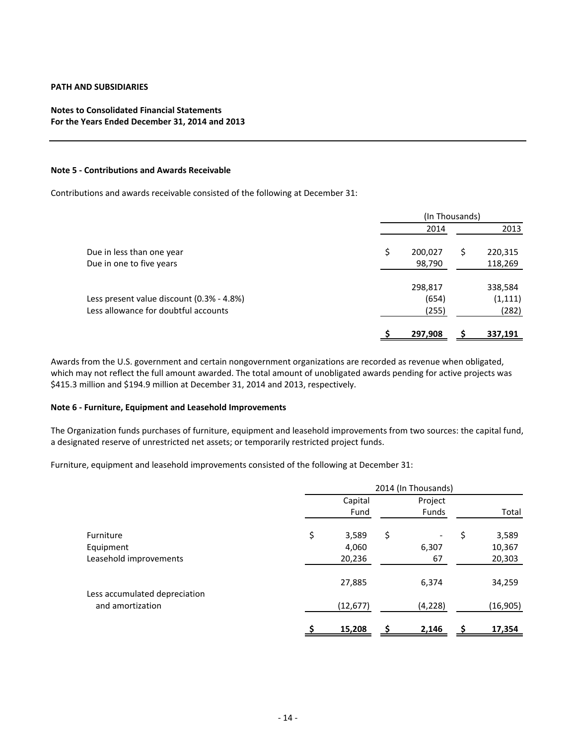## **Notes to Consolidated Financial Statements For the Years Ended December 31, 2014 and 2013**

## **Note 5 ‐ Contributions and Awards Receivable**

Contributions and awards receivable consisted of the following at December 31:

|                                           | (In Thousands) |  |          |  |  |
|-------------------------------------------|----------------|--|----------|--|--|
|                                           | 2014           |  | 2013     |  |  |
| Due in less than one year                 | 200,027        |  | 220,315  |  |  |
| Due in one to five years                  | 98,790         |  | 118,269  |  |  |
|                                           | 298,817        |  | 338,584  |  |  |
| Less present value discount (0.3% - 4.8%) | (654)          |  | (1, 111) |  |  |
| Less allowance for doubtful accounts      | (255)          |  | (282)    |  |  |
|                                           | 297,908        |  | 337,191  |  |  |

Awards from the U.S. government and certain nongovernment organizations are recorded as revenue when obligated, which may not reflect the full amount awarded. The total amount of unobligated awards pending for active projects was \$415.3 million and \$194.9 million at December 31, 2014 and 2013, respectively.

## **Note 6 ‐ Furniture, Equipment and Leasehold Improvements**

The Organization funds purchases of furniture, equipment and leasehold improvements from two sources: the capital fund, a designated reserve of unrestricted net assets; or temporarily restricted project funds.

Furniture, equipment and leasehold improvements consisted of the following at December 31:

|                                                   | 2014 (In Thousands) |           |    |              |    |           |
|---------------------------------------------------|---------------------|-----------|----|--------------|----|-----------|
|                                                   |                     | Capital   |    | Project      |    |           |
|                                                   |                     | Fund      |    | <b>Funds</b> |    | Total     |
| Furniture                                         | \$                  | 3,589     | \$ |              | \$ | 3,589     |
| Equipment                                         |                     | 4,060     |    | 6,307        |    | 10,367    |
| Leasehold improvements                            |                     | 20,236    |    | 67           |    | 20,303    |
|                                                   |                     | 27,885    |    | 6,374        |    | 34,259    |
| Less accumulated depreciation<br>and amortization |                     | (12, 677) |    | (4, 228)     |    | (16, 905) |
|                                                   |                     | 15,208    |    | 2,146        |    | 17,354    |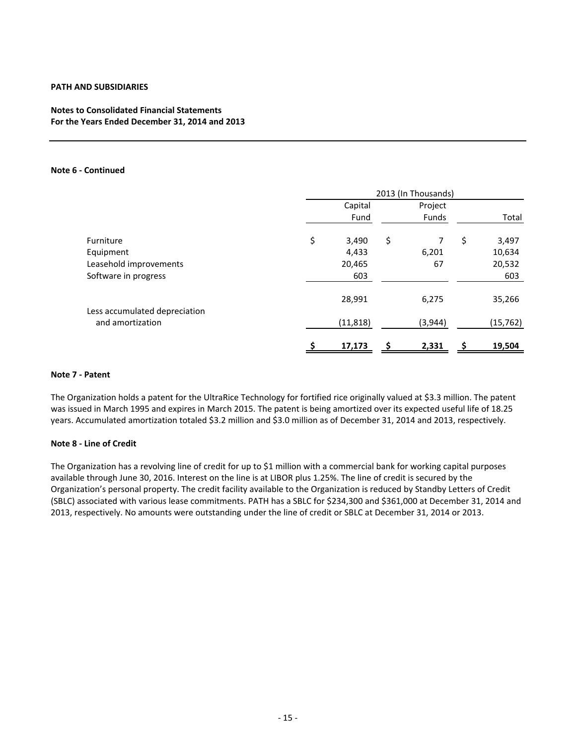## **Notes to Consolidated Financial Statements For the Years Ended December 31, 2014 and 2013**

## **Note 6 ‐ Continued**

|                               | 2013 (In Thousands) |                 |    |                  |    |           |
|-------------------------------|---------------------|-----------------|----|------------------|----|-----------|
|                               |                     | Capital<br>Fund |    | Project<br>Funds |    | Total     |
| Furniture                     | \$                  | 3,490           | \$ | 7                | \$ | 3,497     |
| Equipment                     |                     | 4,433           |    | 6,201            |    | 10,634    |
| Leasehold improvements        |                     | 20,465          |    | 67               |    | 20,532    |
| Software in progress          |                     | 603             |    |                  |    | 603       |
| Less accumulated depreciation |                     | 28,991          |    | 6,275            |    | 35,266    |
| and amortization              |                     | (11, 818)       |    | (3,944)          |    | (15, 762) |
|                               |                     | 17,173          |    | 2,331            |    | 19,504    |

### **Note 7 ‐ Patent**

The Organization holds a patent for the UltraRice Technology for fortified rice originally valued at \$3.3 million. The patent was issued in March 1995 and expires in March 2015. The patent is being amortized over its expected useful life of 18.25 years. Accumulated amortization totaled \$3.2 million and \$3.0 million as of December 31, 2014 and 2013, respectively.

### **Note 8 ‐ Line of Credit**

The Organization has a revolving line of credit for up to \$1 million with a commercial bank for working capital purposes available through June 30, 2016. Interest on the line is at LIBOR plus 1.25%. The line of credit is secured by the Organization's personal property. The credit facility available to the Organization is reduced by Standby Letters of Credit (SBLC) associated with various lease commitments. PATH has a SBLC for \$234,300 and \$361,000 at December 31, 2014 and 2013, respectively. No amounts were outstanding under the line of credit or SBLC at December 31, 2014 or 2013.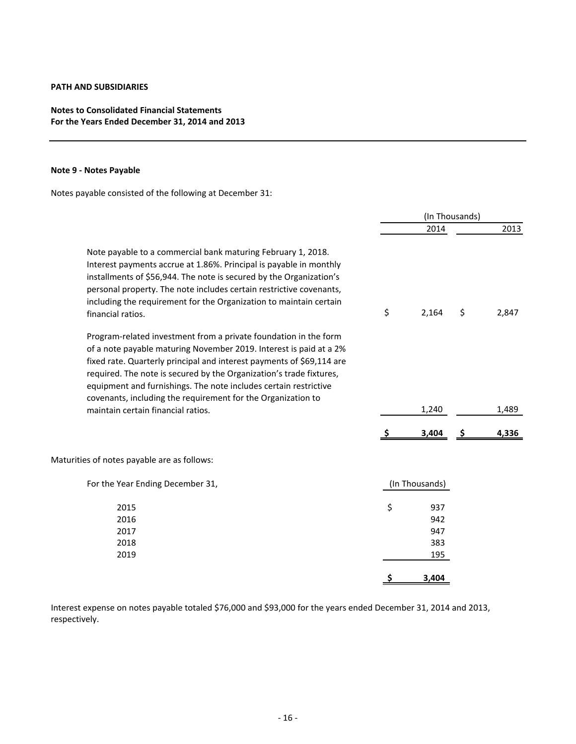# **Notes to Consolidated Financial Statements For the Years Ended December 31, 2014 and 2013**

# **Note 9 ‐ Notes Payable**

Notes payable consisted of the following at December 31:

|                                                                                                                                                                                                                                                                                                                                                                                                                            | (In Thousands) |                                 |    |       |
|----------------------------------------------------------------------------------------------------------------------------------------------------------------------------------------------------------------------------------------------------------------------------------------------------------------------------------------------------------------------------------------------------------------------------|----------------|---------------------------------|----|-------|
|                                                                                                                                                                                                                                                                                                                                                                                                                            |                | 2014                            |    | 2013  |
| Note payable to a commercial bank maturing February 1, 2018.<br>Interest payments accrue at 1.86%. Principal is payable in monthly<br>installments of \$56,944. The note is secured by the Organization's<br>personal property. The note includes certain restrictive covenants,<br>including the requirement for the Organization to maintain certain<br>financial ratios.                                                | \$             | 2,164                           | \$ | 2,847 |
| Program-related investment from a private foundation in the form<br>of a note payable maturing November 2019. Interest is paid at a 2%<br>fixed rate. Quarterly principal and interest payments of \$69,114 are<br>required. The note is secured by the Organization's trade fixtures,<br>equipment and furnishings. The note includes certain restrictive<br>covenants, including the requirement for the Organization to |                |                                 |    |       |
| maintain certain financial ratios.                                                                                                                                                                                                                                                                                                                                                                                         |                | 1,240                           |    | 1,489 |
|                                                                                                                                                                                                                                                                                                                                                                                                                            |                | 3,404                           |    | 4,336 |
| Maturities of notes payable are as follows:                                                                                                                                                                                                                                                                                                                                                                                |                |                                 |    |       |
| For the Year Ending December 31,                                                                                                                                                                                                                                                                                                                                                                                           |                | (In Thousands)                  |    |       |
| 2015<br>2016<br>2017<br>2018<br>2019                                                                                                                                                                                                                                                                                                                                                                                       | \$             | 937<br>942<br>947<br>383<br>195 |    |       |
|                                                                                                                                                                                                                                                                                                                                                                                                                            | Ś              | 3,404                           |    |       |

Interest expense on notes payable totaled \$76,000 and \$93,000 for the years ended December 31, 2014 and 2013, respectively.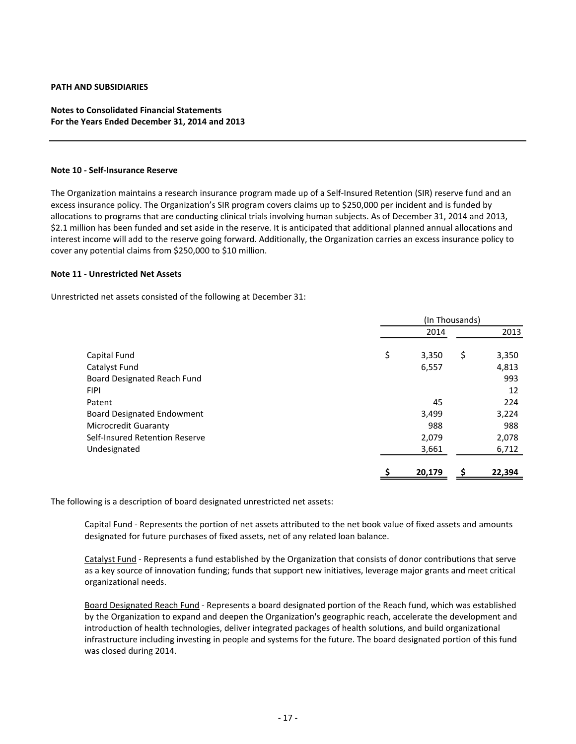## **Notes to Consolidated Financial Statements For the Years Ended December 31, 2014 and 2013**

#### **Note 10 ‐ Self‐Insurance Reserve**

The Organization maintains a research insurance program made up of a Self‐Insured Retention (SIR) reserve fund and an excess insurance policy. The Organization's SIR program covers claims up to \$250,000 per incident and is funded by allocations to programs that are conducting clinical trials involving human subjects. As of December 31, 2014 and 2013, \$2.1 million has been funded and set aside in the reserve. It is anticipated that additional planned annual allocations and interest income will add to the reserve going forward. Additionally, the Organization carries an excess insurance policy to cover any potential claims from \$250,000 to \$10 million.

## **Note 11 ‐ Unrestricted Net Assets**

Unrestricted net assets consisted of the following at December 31:

|                                   | (In Thousands) |        |    |        |  |  |
|-----------------------------------|----------------|--------|----|--------|--|--|
|                                   | 2014           |        |    | 2013   |  |  |
| Capital Fund                      | \$             | 3,350  | \$ | 3,350  |  |  |
| Catalyst Fund                     |                | 6,557  |    | 4,813  |  |  |
| Board Designated Reach Fund       |                |        |    | 993    |  |  |
| <b>FIPI</b>                       |                |        |    | 12     |  |  |
| Patent                            |                | 45     |    | 224    |  |  |
| <b>Board Designated Endowment</b> |                | 3,499  |    | 3,224  |  |  |
| <b>Microcredit Guaranty</b>       |                | 988    |    | 988    |  |  |
| Self-Insured Retention Reserve    |                | 2,079  |    | 2,078  |  |  |
| Undesignated                      |                | 3,661  |    | 6,712  |  |  |
|                                   |                | 20,179 |    | 22,394 |  |  |

The following is a description of board designated unrestricted net assets:

Capital Fund ‐ Represents the portion of net assets attributed to the net book value of fixed assets and amounts designated for future purchases of fixed assets, net of any related loan balance.

Catalyst Fund ‐ Represents a fund established by the Organization that consists of donor contributions that serve as a key source of innovation funding; funds that support new initiatives, leverage major grants and meet critical organizational needs.

Board Designated Reach Fund ‐ Represents a board designated portion of the Reach fund, which was established by the Organization to expand and deepen the Organization's geographic reach, accelerate the development and introduction of health technologies, deliver integrated packages of health solutions, and build organizational infrastructure including investing in people and systems for the future. The board designated portion of this fund was closed during 2014.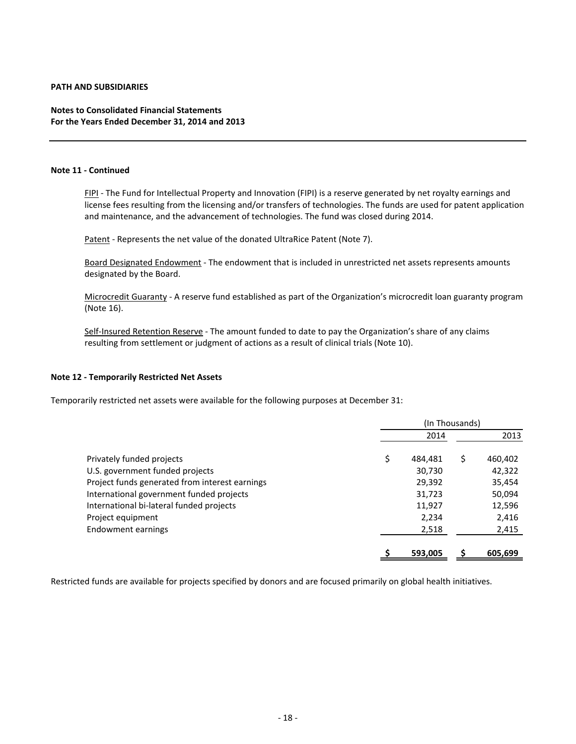## **Notes to Consolidated Financial Statements For the Years Ended December 31, 2014 and 2013**

## **Note 11 ‐ Continued**

FIPI - The Fund for Intellectual Property and Innovation (FIPI) is a reserve generated by net royalty earnings and license fees resulting from the licensing and/or transfers of technologies. The funds are used for patent application and maintenance, and the advancement of technologies. The fund was closed during 2014.

Patent - Represents the net value of the donated UltraRice Patent (Note 7).

Board Designated Endowment - The endowment that is included in unrestricted net assets represents amounts designated by the Board.

Microcredit Guaranty - A reserve fund established as part of the Organization's microcredit loan guaranty program (Note 16).

Self-Insured Retention Reserve - The amount funded to date to pay the Organization's share of any claims resulting from settlement or judgment of actions as a result of clinical trials (Note 10).

## **Note 12 ‐ Temporarily Restricted Net Assets**

Temporarily restricted net assets were available for the following purposes at December 31:

|                                                | (In Thousands) |         |   |         |  |  |  |
|------------------------------------------------|----------------|---------|---|---------|--|--|--|
|                                                |                | 2014    |   | 2013    |  |  |  |
| Privately funded projects                      | \$             | 484.481 | S | 460,402 |  |  |  |
| U.S. government funded projects                |                | 30,730  |   | 42,322  |  |  |  |
| Project funds generated from interest earnings |                | 29,392  |   | 35,454  |  |  |  |
| International government funded projects       |                | 31,723  |   | 50,094  |  |  |  |
| International bi-lateral funded projects       |                | 11,927  |   | 12,596  |  |  |  |
| Project equipment                              |                | 2,234   |   | 2,416   |  |  |  |
| Endowment earnings                             |                | 2,518   |   | 2,415   |  |  |  |
|                                                |                | 593,005 |   | 605.699 |  |  |  |
|                                                |                |         |   |         |  |  |  |

Restricted funds are available for projects specified by donors and are focused primarily on global health initiatives.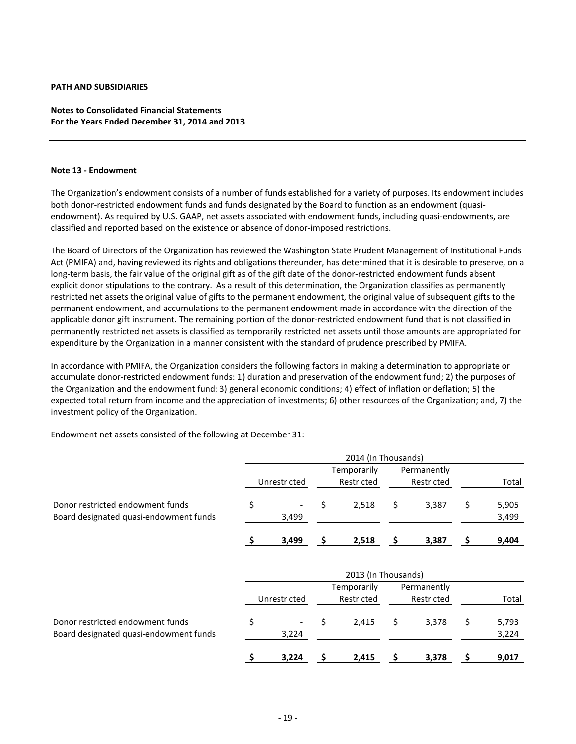## **Notes to Consolidated Financial Statements For the Years Ended December 31, 2014 and 2013**

#### **Note 13 ‐ Endowment**

The Organization's endowment consists of a number of funds established for a variety of purposes. Its endowment includes both donor-restricted endowment funds and funds designated by the Board to function as an endowment (quasiendowment). As required by U.S. GAAP, net assets associated with endowment funds, including quasi-endowments, are classified and reported based on the existence or absence of donor‐imposed restrictions.

The Board of Directors of the Organization has reviewed the Washington State Prudent Management of Institutional Funds Act (PMIFA) and, having reviewed its rights and obligations thereunder, has determined that it is desirable to preserve, on a long-term basis, the fair value of the original gift as of the gift date of the donor-restricted endowment funds absent explicit donor stipulations to the contrary. As a result of this determination, the Organization classifies as permanently restricted net assets the original value of gifts to the permanent endowment, the original value of subsequent gifts to the permanent endowment, and accumulations to the permanent endowment made in accordance with the direction of the applicable donor gift instrument. The remaining portion of the donor-restricted endowment fund that is not classified in permanently restricted net assets is classified as temporarily restricted net assets until those amounts are appropriated for expenditure by the Organization in a manner consistent with the standard of prudence prescribed by PMIFA.

In accordance with PMIFA, the Organization considers the following factors in making a determination to appropriate or accumulate donor‐restricted endowment funds: 1) duration and preservation of the endowment fund; 2) the purposes of the Organization and the endowment fund; 3) general economic conditions; 4) effect of inflation or deflation; 5) the expected total return from income and the appreciation of investments; 6) other resources of the Organization; and, 7) the investment policy of the Organization.

Endowment net assets consisted of the following at December 31:

|                                                                            | 2014 (In Thousands) |              |             |             |             |             |    |                |
|----------------------------------------------------------------------------|---------------------|--------------|-------------|-------------|-------------|-------------|----|----------------|
|                                                                            |                     |              | Temporarily |             | Permanently |             |    |                |
|                                                                            |                     | Unrestricted |             | Restricted  |             | Restricted  |    | Total          |
| Donor restricted endowment funds<br>Board designated quasi-endowment funds | \$                  | 3,499        | \$          | 2,518       | \$          | 3,387       | \$ | 5,905<br>3,499 |
|                                                                            |                     | 3,499        |             | 2,518       | - \$        | 3,387       |    | 9,404          |
|                                                                            | 2013 (In Thousands) |              |             |             |             |             |    |                |
|                                                                            |                     |              |             | Temporarily |             | Permanently |    |                |
|                                                                            |                     | Unrestricted |             | Restricted  |             | Restricted  |    | Total          |
| Donor restricted endowment funds<br>Board designated quasi-endowment funds | \$                  | 3,224        | \$          | 2,415       | \$          | 3,378       | \$ | 5,793<br>3,224 |
|                                                                            |                     | 3,224        |             | 2,415       | S           | 3,378       | S  | 9,017          |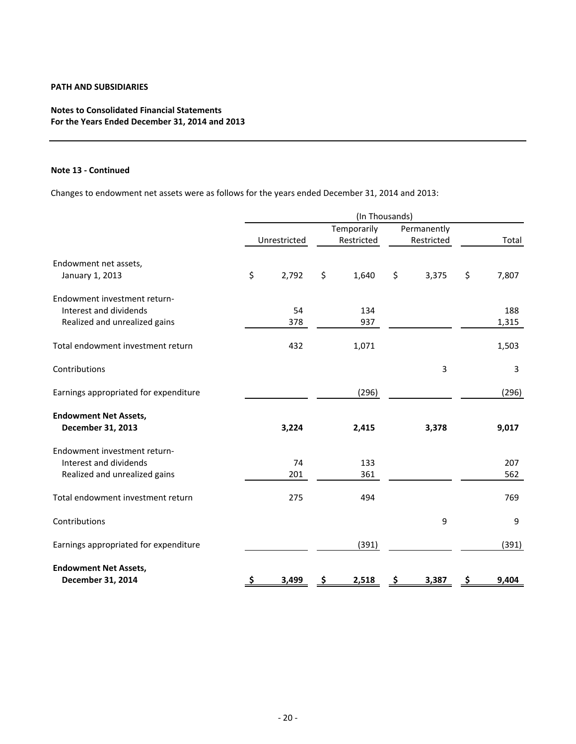# **Notes to Consolidated Financial Statements For the Years Ended December 31, 2014 and 2013**

## **Note 13 ‐ Continued**

Changes to endowment net assets were as follows for the years ended December 31, 2014 and 2013:

|                                                                                         | (In Thousands) |              |    |                           |    |                           |    |              |
|-----------------------------------------------------------------------------------------|----------------|--------------|----|---------------------------|----|---------------------------|----|--------------|
|                                                                                         |                | Unrestricted |    | Temporarily<br>Restricted |    | Permanently<br>Restricted |    | Total        |
| Endowment net assets,<br>January 1, 2013                                                | \$             | 2,792        | \$ | 1,640                     | \$ | 3,375                     | \$ | 7,807        |
| Endowment investment return-<br>Interest and dividends<br>Realized and unrealized gains |                | 54<br>378    |    | 134<br>937                |    |                           |    | 188<br>1,315 |
| Total endowment investment return                                                       |                | 432          |    | 1,071                     |    |                           |    | 1,503        |
| Contributions                                                                           |                |              |    |                           |    | 3                         |    | 3            |
| Earnings appropriated for expenditure                                                   |                |              |    | (296)                     |    |                           |    | (296)        |
| <b>Endowment Net Assets,</b><br>December 31, 2013                                       |                | 3,224        |    | 2,415                     |    | 3,378                     |    | 9,017        |
| Endowment investment return-<br>Interest and dividends<br>Realized and unrealized gains |                | 74<br>201    |    | 133<br>361                |    |                           |    | 207<br>562   |
| Total endowment investment return                                                       |                | 275          |    | 494                       |    |                           |    | 769          |
| Contributions                                                                           |                |              |    |                           |    | 9                         |    | 9            |
| Earnings appropriated for expenditure                                                   |                |              |    | (391)                     |    |                           |    | (391)        |
| <b>Endowment Net Assets,</b><br>December 31, 2014                                       | Ş              | 3,499        | \$ | 2,518                     | \$ | 3,387                     | Ş  | 9,404        |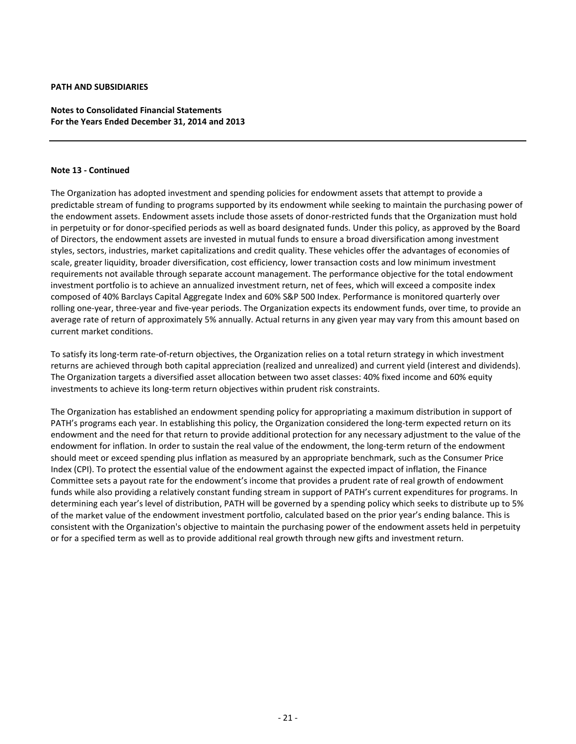## **Notes to Consolidated Financial Statements For the Years Ended December 31, 2014 and 2013**

#### **Note 13 ‐ Continued**

The Organization has adopted investment and spending policies for endowment assets that attempt to provide a predictable stream of funding to programs supported by its endowment while seeking to maintain the purchasing power of the endowment assets. Endowment assets include those assets of donor-restricted funds that the Organization must hold in perpetuity or for donor‐specified periods as well as board designated funds. Under this policy, as approved by the Board of Directors, the endowment assets are invested in mutual funds to ensure a broad diversification among investment styles, sectors, industries, market capitalizations and credit quality. These vehicles offer the advantages of economies of scale, greater liquidity, broader diversification, cost efficiency, lower transaction costs and low minimum investment requirements not available through separate account management. The performance objective for the total endowment investment portfolio is to achieve an annualized investment return, net of fees, which will exceed a composite index composed of 40% Barclays Capital Aggregate Index and 60% S&P 500 Index. Performance is monitored quarterly over rolling one‐year, three‐year and five‐year periods. The Organization expects its endowment funds, over time, to provide an average rate of return of approximately 5% annually. Actual returns in any given year may vary from this amount based on current market conditions.

To satisfy its long‐term rate‐of‐return objectives, the Organization relies on a total return strategy in which investment returns are achieved through both capital appreciation (realized and unrealized) and current yield (interest and dividends). The Organization targets a diversified asset allocation between two asset classes: 40% fixed income and 60% equity investments to achieve its long‐term return objectives within prudent risk constraints.

The Organization has established an endowment spending policy for appropriating a maximum distribution in support of PATH's programs each year. In establishing this policy, the Organization considered the long-term expected return on its endowment and the need for that return to provide additional protection for any necessary adjustment to the value of the endowment for inflation. In order to sustain the real value of the endowment, the long-term return of the endowment should meet or exceed spending plus inflation as measured by an appropriate benchmark, such as the Consumer Price Index (CPI). To protect the essential value of the endowment against the expected impact of inflation, the Finance Committee sets a payout rate for the endowment's income that provides a prudent rate of real growth of endowment funds while also providing a relatively constant funding stream in support of PATH's current expenditures for programs. In determining each year's level of distribution, PATH will be governed by a spending policy which seeks to distribute up to 5% of the market value of the endowment investment portfolio, calculated based on the prior year's ending balance. This is consistent with the Organization's objective to maintain the purchasing power of the endowment assets held in perpetuity or for a specified term as well as to provide additional real growth through new gifts and investment return.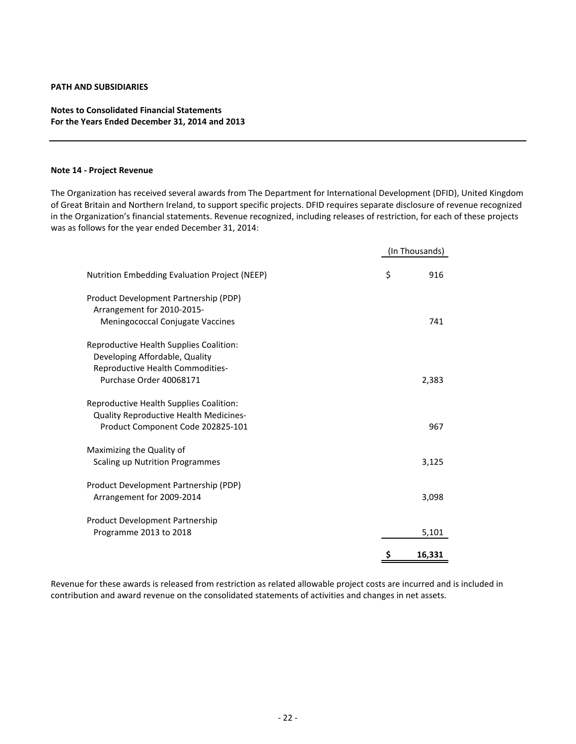**Notes to Consolidated Financial Statements For the Years Ended December 31, 2014 and 2013**

## **Note 14 ‐ Project Revenue**

The Organization has received several awards from The Department for International Development (DFID), United Kingdom of Great Britain and Northern Ireland, to support specific projects. DFID requires separate disclosure of revenue recognized in the Organization's financial statements. Revenue recognized, including releases of restriction, for each of these projects was as follows for the year ended December 31, 2014:

|                                                                                                                                          | (In Thousands) |
|------------------------------------------------------------------------------------------------------------------------------------------|----------------|
| <b>Nutrition Embedding Evaluation Project (NEEP)</b>                                                                                     | \$<br>916      |
| Product Development Partnership (PDP)<br>Arrangement for 2010-2015-<br>Meningococcal Conjugate Vaccines                                  | 741            |
| Reproductive Health Supplies Coalition:<br>Developing Affordable, Quality<br>Reproductive Health Commodities-<br>Purchase Order 40068171 | 2,383          |
| Reproductive Health Supplies Coalition:<br><b>Quality Reproductive Health Medicines-</b><br>Product Component Code 202825-101            | 967            |
| Maximizing the Quality of<br><b>Scaling up Nutrition Programmes</b>                                                                      | 3,125          |
| Product Development Partnership (PDP)<br>Arrangement for 2009-2014                                                                       | 3,098          |
| Product Development Partnership<br>Programme 2013 to 2018                                                                                | 5,101          |
|                                                                                                                                          | \$<br>16,331   |

Revenue for these awards is released from restriction as related allowable project costs are incurred and is included in contribution and award revenue on the consolidated statements of activities and changes in net assets.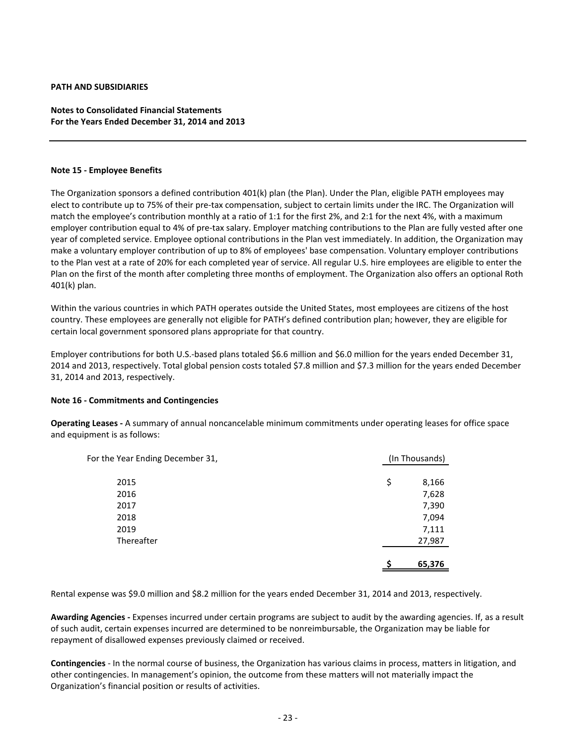**Notes to Consolidated Financial Statements For the Years Ended December 31, 2014 and 2013**

#### **Note 15 ‐ Employee Benefits**

The Organization sponsors a defined contribution 401(k) plan (the Plan). Under the Plan, eligible PATH employees may elect to contribute up to 75% of their pre‐tax compensation, subject to certain limits under the IRC. The Organization will match the employee's contribution monthly at a ratio of 1:1 for the first 2%, and 2:1 for the next 4%, with a maximum employer contribution equal to 4% of pre-tax salary. Employer matching contributions to the Plan are fully vested after one year of completed service. Employee optional contributions in the Plan vest immediately. In addition, the Organization may make a voluntary employer contribution of up to 8% of employees' base compensation. Voluntary employer contributions to the Plan vest at a rate of 20% for each completed year of service. All regular U.S. hire employees are eligible to enter the Plan on the first of the month after completing three months of employment. The Organization also offers an optional Roth 401(k) plan.

Within the various countries in which PATH operates outside the United States, most employees are citizens of the host country. These employees are generally not eligible for PATH's defined contribution plan; however, they are eligible for certain local government sponsored plans appropriate for that country.

Employer contributions for both U.S.‐based plans totaled \$6.6 million and \$6.0 million for the years ended December 31, 2014 and 2013, respectively. Total global pension costs totaled \$7.8 million and \$7.3 million for the years ended December 31, 2014 and 2013, respectively.

### **Note 16 ‐ Commitments and Contingencies**

**Operating Leases ‐** A summary of annual noncancelable minimum commitments under operating leases for office space and equipment is as follows:

| For the Year Ending December 31, | (In Thousands) |  |
|----------------------------------|----------------|--|
| 2015                             | \$<br>8,166    |  |
| 2016                             | 7,628          |  |
| 2017                             | 7,390          |  |
| 2018                             | 7,094          |  |
| 2019                             | 7,111          |  |
| Thereafter                       | 27,987         |  |
|                                  | 65,376         |  |

Rental expense was \$9.0 million and \$8.2 million for the years ended December 31, 2014 and 2013, respectively.

**Awarding Agencies ‐** Expenses incurred under certain programs are subject to audit by the awarding agencies. If, as a result of such audit, certain expenses incurred are determined to be nonreimbursable, the Organization may be liable for repayment of disallowed expenses previously claimed or received.

**Contingencies** ‐ In the normal course of business, the Organization has various claims in process, matters in litigation, and other contingencies. In management's opinion, the outcome from these matters will not materially impact the Organization's financial position or results of activities.